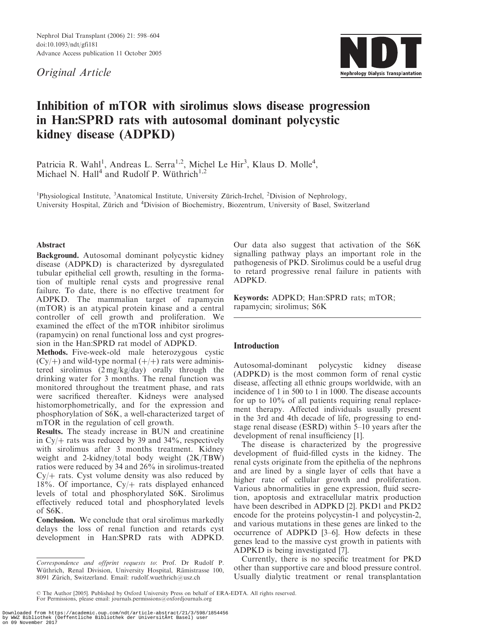Nephrol Dial Transplant (2006) 21: 598–604 doi:10.1093/ndt/gfi181 Advance Access publication 11 October 2005

Original Article



# Inhibition of mTOR with sirolimus slows disease progression in Han:SPRD rats with autosomal dominant polycystic kidney disease (ADPKD)

Patricia R. Wahl<sup>1</sup>, Andreas L. Serra<sup>1,2</sup>, Michel Le Hir<sup>3</sup>, Klaus D. Molle<sup>4</sup>, Michael N. Hall<sup>4</sup> and Rudolf P. Wüthrich<sup>1,2</sup>

<sup>1</sup>Physiological Institute, <sup>3</sup>Anatomical Institute, University Zürich-Irchel, <sup>2</sup>Division of Nephrology, University Hospital, Zürich and <sup>4</sup>Division of Biochemistry, Biozentrum, University of Basel, Switzerland

## Abstract

Background. Autosomal dominant polycystic kidney disease (ADPKD) is characterized by dysregulated tubular epithelial cell growth, resulting in the formation of multiple renal cysts and progressive renal failure. To date, there is no effective treatment for ADPKD. The mammalian target of rapamycin (mTOR) is an atypical protein kinase and a central controller of cell growth and proliferation. We examined the effect of the mTOR inhibitor sirolimus (rapamycin) on renal functional loss and cyst progression in the Han:SPRD rat model of ADPKD.

Methods. Five-week-old male heterozygous cystic  $(Cy/+)$  and wild-type normal  $(+/+)$  rats were administered sirolimus (2 mg/kg/day) orally through the drinking water for 3 months. The renal function was monitored throughout the treatment phase, and rats were sacrificed thereafter. Kidneys were analysed histomorphometrically, and for the expression and phosphorylation of S6K, a well-characterized target of mTOR in the regulation of cell growth.

Results. The steady increase in BUN and creatinine in  $\text{Cy}/\text{+}$  rats was reduced by 39 and 34%, respectively with sirolimus after 3 months treatment. Kidney weight and 2-kidney/total body weight (2K/TBW) ratios were reduced by 34 and 26% in sirolimus-treated  $Cy$  ats. Cyst volume density was also reduced by 18%. Of importance,  $Cy/+$  rats displayed enhanced levels of total and phosphorylated S6K. Sirolimus effectively reduced total and phosphorylated levels of S6K.

Conclusion. We conclude that oral sirolimus markedly delays the loss of renal function and retards cyst development in Han:SPRD rats with ADPKD.

Our data also suggest that activation of the S6K signalling pathway plays an important role in the pathogenesis of PKD. Sirolimus could be a useful drug to retard progressive renal failure in patients with ADPKD.

Keywords: ADPKD; Han:SPRD rats; mTOR; rapamycin; sirolimus; S6K

# Introduction

Autosomal-dominant polycystic kidney disease (ADPKD) is the most common form of renal cystic disease, affecting all ethnic groups worldwide, with an incidence of 1 in 500 to 1 in 1000. The disease accounts for up to 10% of all patients requiring renal replacement therapy. Affected individuals usually present in the 3rd and 4th decade of life, progressing to endstage renal disease (ESRD) within 5–10 years after the development of renal insufficiency [1].

The disease is characterized by the progressive development of fluid-filled cysts in the kidney. The renal cysts originate from the epithelia of the nephrons and are lined by a single layer of cells that have a higher rate of cellular growth and proliferation. Various abnormalities in gene expression, fluid secretion, apoptosis and extracellular matrix production have been described in ADPKD [2]. PKD1 and PKD2 encode for the proteins polycystin-1 and polycystin-2, and various mutations in these genes are linked to the occurrence of ADPKD [3–6]. How defects in these genes lead to the massive cyst growth in patients with ADPKD is being investigated [7].

Currently, there is no specific treatment for PKD other than supportive care and blood pressure control. Usually dialytic treatment or renal transplantation

Downloaded from https://academic.oup.com/ndt/article-abstract/21/3/598/1854456 by WWZ Bibliothek (Oeffentliche Bibliothek der Universität Basel) user on 09 November 2017

Correspondence and offprint requests to: Prof. Dr Rudolf P. Wüthrich, Renal Division, University Hospital, Rämistrasse 100, 8091 Zürich, Switzerland. Email: rudolf.wuethrich@usz.ch

The Author [2005]. Published by Oxford University Press on behalf of ERA-EDTA. All rights reserved. For Permissions, please email: journals.permissions@oxfordjournals.org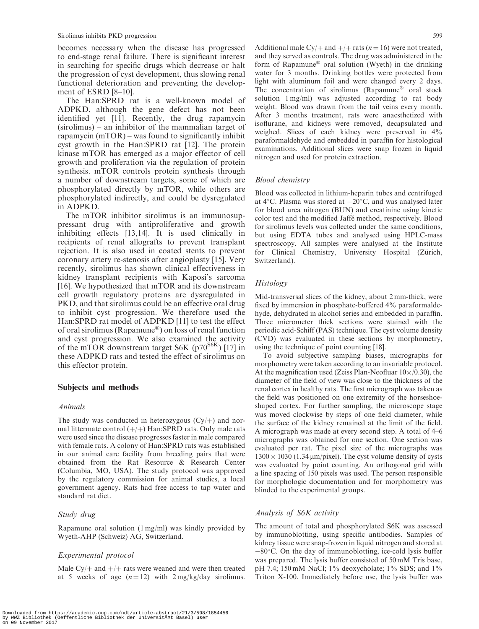becomes necessary when the disease has progressed to end-stage renal failure. There is significant interest in searching for specific drugs which decrease or halt the progression of cyst development, thus slowing renal functional deterioration and preventing the development of ESRD [8–10].

The Han:SPRD rat is a well-known model of ADPKD, although the gene defect has not been identified yet [11]. Recently, the drug rapamycin (sirolimus) – an inhibitor of the mammalian target of rapamycin (mTOR) – was found to significantly inhibit cyst growth in the Han:SPRD rat [12]. The protein kinase mTOR has emerged as a major effector of cell growth and proliferation via the regulation of protein synthesis. mTOR controls protein synthesis through a number of downstream targets, some of which are phosphorylated directly by mTOR, while others are phosphorylated indirectly, and could be dysregulated in ADPKD.

The mTOR inhibitor sirolimus is an immunosuppressant drug with antiproliferative and growth inhibiting effects [13,14]. It is used clinically in recipients of renal allografts to prevent transplant rejection. It is also used in coated stents to prevent coronary artery re-stenosis after angioplasty [15]. Very recently, sirolimus has shown clinical effectiveness in kidney transplant recipients with Kaposi's sarcoma [16]. We hypothesized that mTOR and its downstream cell growth regulatory proteins are dysregulated in PKD, and that sirolimus could be an effective oral drug to inhibit cyst progression. We therefore used the Han:SPRD rat model of ADPKD [11] to test the effect of oral sirolimus (Rapamune®) on loss of renal function and cyst progression. We also examined the activity of the mTOR downstream target S6K ( $p70^{S6K}$ ) [17] in these ADPKD rats and tested the effect of sirolimus on this effector protein.

#### Subjects and methods

#### Animals

The study was conducted in heterozygous  $(Cy/+)$  and normal littermate control  $(+/+)$  Han:SPRD rats. Only male rats were used since the disease progresses faster in male compared with female rats. A colony of Han:SPRD rats was established in our animal care facility from breeding pairs that were obtained from the Rat Resource & Research Center (Columbia, MO, USA). The study protocol was approved by the regulatory commission for animal studies, a local government agency. Rats had free access to tap water and standard rat diet.

#### Study drug

Rapamune oral solution (1 mg/ml) was kindly provided by Wyeth-AHP (Schweiz) AG, Switzerland.

#### Experimental protocol

Male Cy/ $+$  and  $+$ / $+$  rats were weaned and were then treated at 5 weeks of age  $(n = 12)$  with  $2 \text{ mg/kg/day}$  sirolimus.

Additional male Cy/+ and  $+/+$  rats (n = 16) were not treated, and they served as controls. The drug was administered in the form of Rapamune® oral solution (Wyeth) in the drinking water for 3 months. Drinking bottles were protected from light with aluminum foil and were changed every 2 days. The concentration of sirolimus (Rapamune<sup>®</sup> oral stock solution 1 mg/ml) was adjusted according to rat body weight. Blood was drawn from the tail veins every month. After 3 months treatment, rats were anaesthetized with isoflurane, and kidneys were removed, decapsulated and weighed. Slices of each kidney were preserved in 4% paraformaldehyde and embedded in paraffin for histological examinations. Additional slices were snap frozen in liquid nitrogen and used for protein extraction.

#### Blood chemistry

Blood was collected in lithium-heparin tubes and centrifuged at  $4^{\circ}$ C. Plasma was stored at  $-20^{\circ}$ C, and was analysed later for blood urea nitrogen (BUN) and creatinine using kinetic color test and the modified Jaffe´ method, respectively. Blood for sirolimus levels was collected under the same conditions, but using EDTA tubes and analysed using HPLC-mass spectroscopy. All samples were analysed at the Institute for Clinical Chemistry, University Hospital (Zürich, Switzerland).

### **Histology**

Mid-transversal slices of the kidney, about 2 mm-thick, were fixed by immersion in phosphate-buffered 4% paraformaldehyde, dehydrated in alcohol series and embedded in paraffin. Three micrometer thick sections were stained with the periodic acid-Schiff (PAS) technique. The cyst volume density (CVD) was evaluated in these sections by morphometry, using the technique of point counting [18].

To avoid subjective sampling biases, micrographs for morphometry were taken according to an invariable protocol. At the magnification used (Zeiss Plan-Neofluar  $10\times/0.30$ ), the diameter of the field of view was close to the thickness of the renal cortex in healthy rats. The first micrograph was taken as the field was positioned on one extremity of the horseshoeshaped cortex. For further sampling, the microscope stage was moved clockwise by steps of one field diameter, while the surface of the kidney remained at the limit of the field. A micrograph was made at every second step. A total of 4–6 micrographs was obtained for one section. One section was evaluated per rat. The pixel size of the micrographs was  $1300 \times 1030$  (1.34 µm/pixel). The cyst volume density of cysts was evaluated by point counting. An orthogonal grid with a line spacing of 150 pixels was used. The person responsible for morphologic documentation and for morphometry was blinded to the experimental groups.

### Analysis of S6K activity

The amount of total and phosphorylated S6K was assessed by immunoblotting, using specific antibodies. Samples of kidney tissue were snap-frozen in liquid nitrogen and stored at -80°C. On the day of immunoblotting, ice-cold lysis buffer was prepared. The lysis buffer consisted of 50 mM Tris base,  $pH$  7.4; 150 mM NaCl; 1% deoxycholate; 1% SDS; and 1% Triton X-100. Immediately before use, the lysis buffer was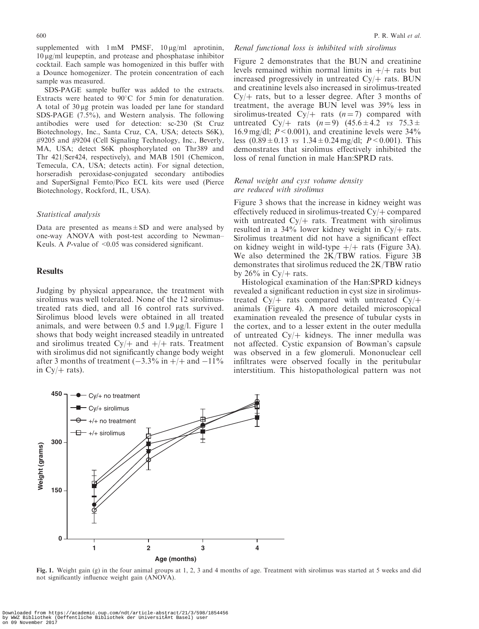supplemented with  $1 \text{ mM}$  PMSF,  $10 \mu\text{g/ml}$  aprotinin,  $10 \mu g/ml$  leupeptin, and protease and phosphatase inhibitor cocktail. Each sample was homogenized in this buffer with a Dounce homogenizer. The protein concentration of each sample was measured.

SDS-PAGE sample buffer was added to the extracts. Extracts were heated to  $90^{\circ}$ C for 5 min for denaturation. A total of  $30 \mu$ g protein was loaded per lane for standard SDS-PAGE (7.5%), and Western analysis. The following antibodies were used for detection: sc-230 (St Cruz Biotechnology, Inc., Santa Cruz, CA, USA; detects S6K), #9205 and #9204 (Cell Signaling Technology, Inc., Beverly, MA, USA; detect S6K phosphorylated on Thr389 and Thr 421/Ser424, respectively), and MAB 1501 (Chemicon, Temecula, CA, USA; detects actin). For signal detection, horseradish peroxidase-conjugated secondary antibodies and SuperSignal Femto/Pico ECL kits were used (Pierce Biotechnology, Rockford, IL, USA).

#### Statistical analysis

Data are presented as means $\pm$ SD and were analysed by one-way ANOVA with post-test according to Newman– Keuls. A  $P$ -value of <0.05 was considered significant.

#### **Results**

Judging by physical appearance, the treatment with sirolimus was well tolerated. None of the 12 sirolimustreated rats died, and all 16 control rats survived. Sirolimus blood levels were obtained in all treated animals, and were between 0.5 and  $1.9 \mu g/l$ . Figure 1 shows that body weight increased steadily in untreated and sirolimus treated Cy/ $+$  and  $+$ / $+$  rats. Treatment with sirolimus did not significantly change body weight after 3 months of treatment  $(-3.3\% \text{ in } +/+ \text{ and } -11\%)$ in  $Cy$  + rats).

## Renal functional loss is inhibited with sirolimus

Figure 2 demonstrates that the BUN and creatinine levels remained within normal limits in  $+/+$  rats but increased progressively in untreated  $Cy/+$  rats. BUN and creatinine levels also increased in sirolimus-treated  $Cy$  ats, but to a lesser degree. After 3 months of treatment, the average BUN level was 39% less in sirolimus-treated Cy/ $+$  rats (n = 7) compared with untreated Cy/ $+$  rats (n = 9) (45.6  $\pm$  4.2 vs 75.3  $\pm$ 16.9 mg/dl;  $P < 0.001$ ), and creatinine levels were 34% less  $(0.89 \pm 0.13 \text{ vs } 1.34 \pm 0.24 \text{ mg/d}!)$ ;  $P < 0.001$ ). This demonstrates that sirolimus effectively inhibited the loss of renal function in male Han:SPRD rats.

## Renal weight and cyst volume density are reduced with sirolimus

Figure 3 shows that the increase in kidney weight was effectively reduced in sirolimus-treated  $Cy/+$  compared with untreated  $Cy/+$  rats. Treatment with sirolimus resulted in a  $34\%$  lower kidney weight in Cy/ $+$  rats. Sirolimus treatment did not have a significant effect on kidney weight in wild-type  $+/+$  rats (Figure 3A). We also determined the 2K/TBW ratios. Figure 3B demonstrates that sirolimus reduced the 2K/TBW ratio by  $26\%$  in Cy/ $+$  rats.

Histological examination of the Han:SPRD kidneys revealed a significant reduction in cyst size in sirolimustreated Cy/ $+$  rats compared with untreated Cy/ $+$ animals (Figure 4). A more detailed microscopical examination revealed the presence of tubular cysts in the cortex, and to a lesser extent in the outer medulla of untreated  $Cy/+$  kidneys. The inner medulla was not affected. Cystic expansion of Bowman's capsule was observed in a few glomeruli. Mononuclear cell infiltrates were observed focally in the peritubular interstitium. This histopathological pattern was not



Fig. 1. Weight gain (g) in the four animal groups at 1, 2, 3 and 4 months of age. Treatment with sirolimus was started at 5 weeks and did not significantly influence weight gain (ANOVA).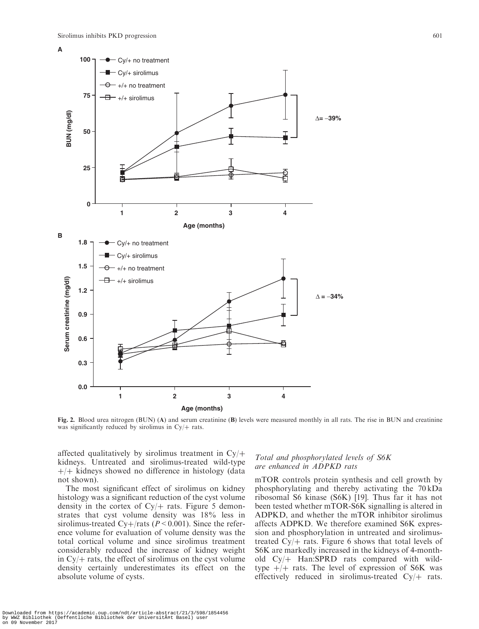

Fig. 2. Blood urea nitrogen (BUN) (A) and serum creatinine (B) levels were measured monthly in all rats. The rise in BUN and creatinine was significantly reduced by sirolimus in  $Cy$  rats.

affected qualitatively by sirolimus treatment in  $Cy$  + kidneys. Untreated and sirolimus-treated wild-type  $+/-$  kidneys showed no difference in histology (data not shown).

The most significant effect of sirolimus on kidney histology was a significant reduction of the cyst volume density in the cortex of  $Cy$  rats. Figure 5 demonstrates that cyst volume density was 18% less in sirolimus-treated Cy+/rats ( $P < 0.001$ ). Since the reference volume for evaluation of volume density was the total cortical volume and since sirolimus treatment considerably reduced the increase of kidney weight in  $\text{Cy}/\text{+}$  rats, the effect of sirolimus on the cyst volume density certainly underestimates its effect on the absolute volume of cysts.

# Total and phosphorylated levels of S6K are enhanced in ADPKD rats

mTOR controls protein synthesis and cell growth by phosphorylating and thereby activating the 70 kDa ribosomal S6 kinase (S6K) [19]. Thus far it has not been tested whether mTOR-S6K signalling is altered in ADPKD, and whether the mTOR inhibitor sirolimus affects ADPKD. We therefore examined S6K expression and phosphorylation in untreated and sirolimustreated  $Cy/+$  rats. Figure 6 shows that total levels of S6K are markedly increased in the kidneys of 4-monthold  $Cy/+$  Han:SPRD rats compared with wildtype  $+/+$  rats. The level of expression of S6K was effectively reduced in sirolimus-treated  $Cy/+$  rats.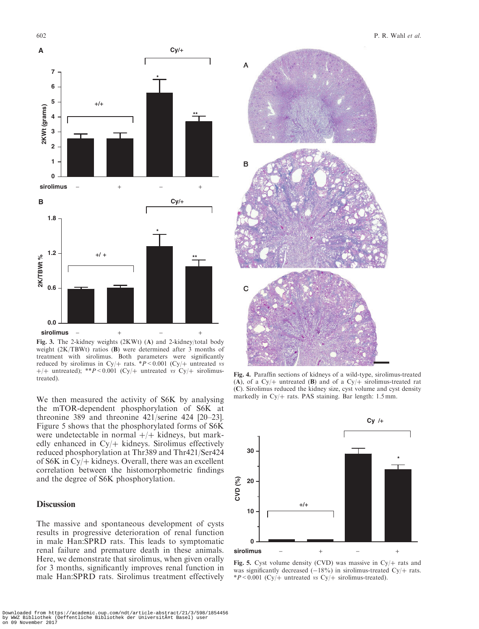

Fig. 3. The 2-kidney weights (2KWt) (A) and 2-kidney/total body weight (2K/TBWt) ratios (B) were determined after 3 months of treatment with sirolimus. Both parameters were significantly reduced by sirolimus in Cy/+ rats.  $*P < 0.001$  (Cy/+ untreated vs +/+ untreated); \*\*P<0.001 (Cy/+ untreated vs Cy/+ sirolimustreated).

We then measured the activity of S6K by analysing the mTOR-dependent phosphorylation of S6K at threonine 389 and threonine 421/serine 424 [20–23]. Figure 5 shows that the phosphorylated forms of S6K were undetectable in normal  $+/+$  kidneys, but markedly enhanced in  $Cy/+$  kidneys. Sirolimus effectively reduced phosphorylation at Thr389 and Thr421/Ser424 of S6K in  $Cy$  kidneys. Overall, there was an excellent correlation between the histomorphometric findings and the degree of S6K phosphorylation.

# **Discussion**

The massive and spontaneous development of cysts results in progressive deterioration of renal function in male Han:SPRD rats. This leads to symptomatic renal failure and premature death in these animals. Here, we demonstrate that sirolimus, when given orally for 3 months, significantly improves renal function in male Han:SPRD rats. Sirolimus treatment effectively



Fig. 4. Paraffin sections of kidneys of a wild-type, sirolimus-treated (A), of a Cy/+ untreated (B) and of a Cy/+ sirolimus-treated rat (C). Sirolimus reduced the kidney size, cyst volume and cyst density markedly in Cy $/$ + rats. PAS staining. Bar length: 1.5 mm.



Fig. 5. Cyst volume density (CVD) was massive in Cy/ $+$  rats and was significantly decreased  $(-18%)$  in sirolimus-treated Cy/ $+$  rats.  $*P < 0.001$  (Cy/+ untreated vs Cy/+ sirolimus-treated).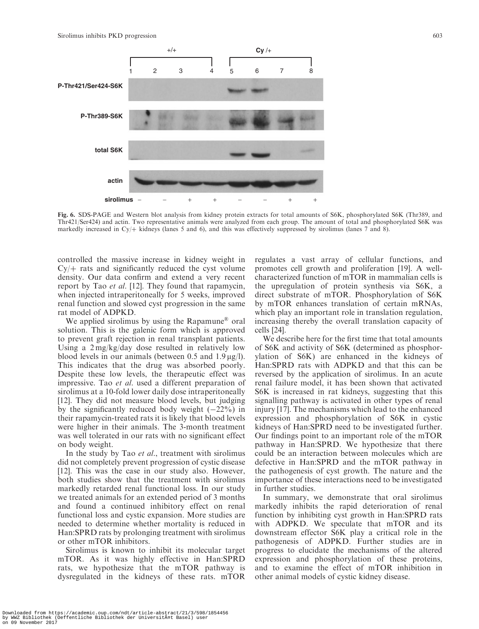Sirolimus inhibits PKD progression 603



Fig. 6. SDS-PAGE and Western blot analysis from kidney protein extracts for total amounts of S6K, phosphorylated S6K (Thr389, and Thr421/Ser424) and actin. Two representative animals were analyzed from each group. The amount of total and phosphorylated S6K was markedly increased in Cy/ $+$  kidneys (lanes 5 and 6), and this was effectively suppressed by sirolimus (lanes 7 and 8).

controlled the massive increase in kidney weight in  $Cy$  ats and significantly reduced the cyst volume density. Our data confirm and extend a very recent report by Tao et al. [12]. They found that rapamycin, when injected intraperitoneally for 5 weeks, improved renal function and slowed cyst progression in the same rat model of ADPKD.

We applied sirolimus by using the Rapamune<sup>®</sup> oral solution. This is the galenic form which is approved to prevent graft rejection in renal transplant patients. Using a 2 mg/kg/day dose resulted in relatively low blood levels in our animals (between 0.5 and  $1.9 \mu g/l$ ). This indicates that the drug was absorbed poorly. Despite these low levels, the therapeutic effect was impressive. Tao et al. used a different preparation of sirolimus at a 10-fold lower daily dose intraperitoneally [12]. They did not measure blood levels, but judging by the significantly reduced body weight  $(-22%)$  in their rapamycin-treated rats it is likely that blood levels were higher in their animals. The 3-month treatment was well tolerated in our rats with no significant effect on body weight.

In the study by Tao *et al.*, treatment with sirolimus did not completely prevent progression of cystic disease [12]. This was the case in our study also. However, both studies show that the treatment with sirolimus markedly retarded renal functional loss. In our study we treated animals for an extended period of 3 months and found a continued inhibitory effect on renal functional loss and cystic expansion. More studies are needed to determine whether mortality is reduced in Han:SPRD rats by prolonging treatment with sirolimus or other mTOR inhibitors.

Sirolimus is known to inhibit its molecular target mTOR. As it was highly effective in Han:SPRD rats, we hypothesize that the mTOR pathway is dysregulated in the kidneys of these rats. mTOR

regulates a vast array of cellular functions, and promotes cell growth and proliferation [19]. A wellcharacterized function of mTOR in mammalian cells is the upregulation of protein synthesis via S6K, a direct substrate of mTOR. Phosphorylation of S6K by mTOR enhances translation of certain mRNAs, which play an important role in translation regulation, increasing thereby the overall translation capacity of cells [24].

We describe here for the first time that total amounts of S6K and activity of S6K (determined as phosphorylation of S6K) are enhanced in the kidneys of Han:SPRD rats with ADPKD and that this can be reversed by the application of sirolimus. In an acute renal failure model, it has been shown that activated S6K is increased in rat kidneys, suggesting that this signalling pathway is activated in other types of renal injury [17]. The mechanisms which lead to the enhanced expression and phosphorylation of S6K in cystic kidneys of Han:SPRD need to be investigated further. Our findings point to an important role of the mTOR pathway in Han:SPRD. We hypothesize that there could be an interaction between molecules which are defective in Han:SPRD and the mTOR pathway in the pathogenesis of cyst growth. The nature and the importance of these interactions need to be investigated in further studies.

In summary, we demonstrate that oral sirolimus markedly inhibits the rapid deterioration of renal function by inhibiting cyst growth in Han:SPRD rats with ADPKD. We speculate that mTOR and its downstream effector S6K play a critical role in the pathogenesis of ADPKD. Further studies are in progress to elucidate the mechanisms of the altered expression and phosphorylation of these proteins, and to examine the effect of mTOR inhibition in other animal models of cystic kidney disease.